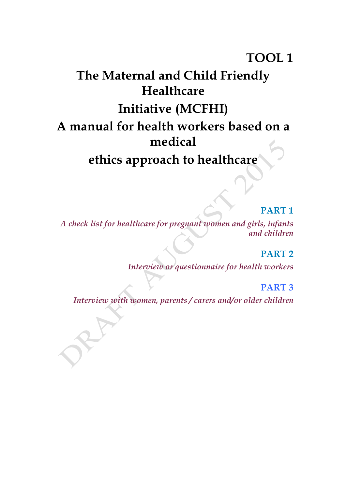# **TOOL 1**

# **The Maternal and Child Friendly Healthcare Initiative (MCFHI) A manual for health workers based on a medical ethics approach to healthcare**

# **PART 1**

*A check list for healthcare for pregnant women and girls, infants and children*

# **PART 2**

*Interview or questionnaire for health workers*

# **PART 3**

*Interview with women, parents / carers and/or older children*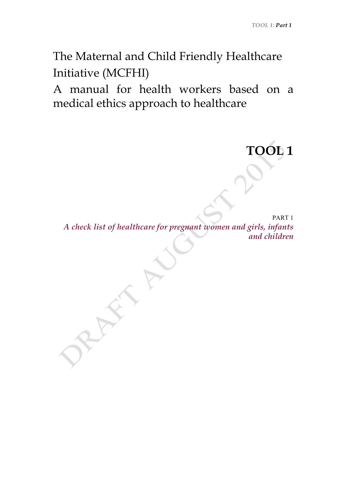**TOOL 1**

The Maternal and Child Friendly Healthcare Initiative (MCFHI)

A manual for health workers based on a medical ethics approach to healthcare

PART 1 *A check list of healthcare for pregnant women and girls, infants and children*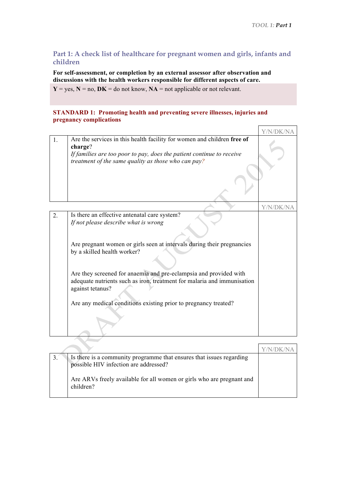## **Part 1: A check list of healthcare for pregnant women and girls, infants and children**

**For self-assessment, or completion by an external assessor after observation and discussions with the health workers responsible for different aspects of care.**

 $Y = yes, N = no, DK = do not know, NA = not applicable or not relevant.$ 

#### **STANDARD 1: Promoting health and preventing severe illnesses, injuries and pregnancy complications**

|    |                                                                                    | Y/N/DK/NA |
|----|------------------------------------------------------------------------------------|-----------|
| 1. | Are the services in this health facility for women and children free of<br>charge? |           |
|    | If families are too poor to pay, does the patient continue to receive              |           |
|    | treatment of the same quality as those who can pay?                                |           |
|    |                                                                                    |           |
|    |                                                                                    |           |
|    |                                                                                    |           |
|    |                                                                                    |           |
|    |                                                                                    | Y/N/DK/NA |
| 2. | Is there an effective antenatal care system?                                       |           |
|    | If not please describe what is wrong                                               |           |
|    |                                                                                    |           |
|    |                                                                                    |           |
|    | Are pregnant women or girls seen at intervals during their pregnancies             |           |
|    | by a skilled health worker?                                                        |           |
|    |                                                                                    |           |
|    |                                                                                    |           |
|    | Are they screened for anaemia and pre-eclampsia and provided with                  |           |
|    | adequate nutrients such as iron, treatment for malaria and immunisation            |           |
|    | against tetanus?                                                                   |           |
|    | Are any medical conditions existing prior to pregnancy treated?                    |           |
|    |                                                                                    |           |
|    |                                                                                    |           |
|    |                                                                                    |           |
|    |                                                                                    |           |
|    |                                                                                    |           |

|  | Is there is a community programme that ensures that issues regarding<br>possible HIV infection are addressed?<br>Are ARVs freely available for all women or girls who are pregnant and<br>children? |  |
|--|-----------------------------------------------------------------------------------------------------------------------------------------------------------------------------------------------------|--|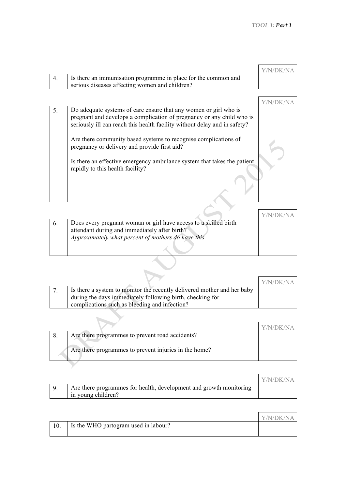|                                                                | Y/N/DK/NA |
|----------------------------------------------------------------|-----------|
| Is there an immunisation programme in place for the common and |           |
| serious diseases affecting women and children?                 |           |

| 5. | Do adequate systems of care ensure that any women or girl who is<br>pregnant and develops a complication of pregnancy or any child who is<br>seriously ill can reach this health facility without delay and in safety? |  |
|----|------------------------------------------------------------------------------------------------------------------------------------------------------------------------------------------------------------------------|--|
|    | Are there community based systems to recognise complications of<br>pregnancy or delivery and provide first aid?                                                                                                        |  |
|    | Is there an effective emergency ambulance system that takes the patient<br>rapidly to this health facility?                                                                                                            |  |
|    |                                                                                                                                                                                                                        |  |

| Does every pregnant woman or girl have access to a skilled birth |  |
|------------------------------------------------------------------|--|
| attendant during and immediately after birth?                    |  |
| Approximately what percent of mothers do have this               |  |
|                                                                  |  |

|                                                                         | Y/N/DK/NA |
|-------------------------------------------------------------------------|-----------|
| Is there a system to monitor the recently delivered mother and her baby |           |
| during the days immediately following birth, checking for               |           |
| complications such as bleeding and infection?                           |           |

|  | Are there programmes to prevent road accidents?       |  |
|--|-------------------------------------------------------|--|
|  | Are there programmes to prevent injuries in the home? |  |

|                                                                    | Y/N/DK/NA |
|--------------------------------------------------------------------|-----------|
| Are there programmes for health, development and growth monitoring |           |
| in young children?                                                 |           |

 $\blacktriangledown$ 

|                                      | Y/N/DK/NA |
|--------------------------------------|-----------|
| Is the WHO partogram used in labour? |           |
|                                      |           |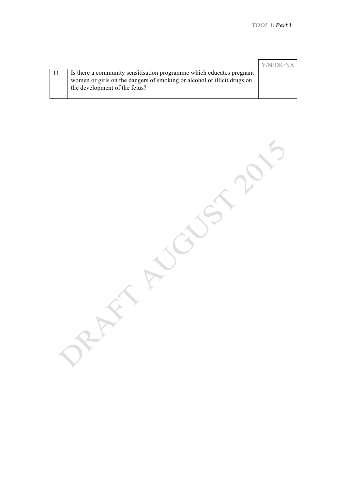|                                                                                                                                                                                  | <b>YN/DK/NA</b> |
|----------------------------------------------------------------------------------------------------------------------------------------------------------------------------------|-----------------|
| Is there a community sensitisation programme which educates pregnant<br>women or girls on the dangers of smoking or alcohol or illicit drugs on<br>the development of the fetus? |                 |

PARTY NUCLEAN AFT AUGUST 2015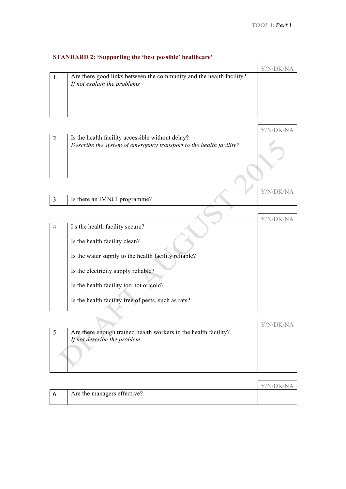# **STANDARD 2: 'Supporting the 'best possible' healthcare'**

| Are there good links between the community and the health facility? |  |
|---------------------------------------------------------------------|--|
| If not explain the problems                                         |  |
|                                                                     |  |
|                                                                     |  |
|                                                                     |  |
|                                                                     |  |

| Is the health facility accessible without delay?<br>Describe the system of emergency transport to the health facility? |  |
|------------------------------------------------------------------------------------------------------------------------|--|
|                                                                                                                        |  |
|                                                                                                                        |  |
|                                                                                                                        |  |

|                              | $V/N/DK/N$ A |
|------------------------------|--------------|
| Is there an IMNCI programme? |              |

| $\overline{4}$ . | I s the health facility secure?                      |  |
|------------------|------------------------------------------------------|--|
|                  | Is the health facility clean?                        |  |
|                  | Is the water supply to the health facility reliable? |  |
|                  | Is the electricity supply reliable?                  |  |
|                  | Is the health facility too hot or cold?              |  |
|                  | Is the health facility free of pests, such as rats?  |  |
|                  |                                                      |  |

| Are there enough trained health workers in the health facility? |  |
|-----------------------------------------------------------------|--|
| If not describe the problem.                                    |  |
|                                                                 |  |

|                             | Y/N/DK/NA |
|-----------------------------|-----------|
| Are the managers effective? |           |
|                             |           |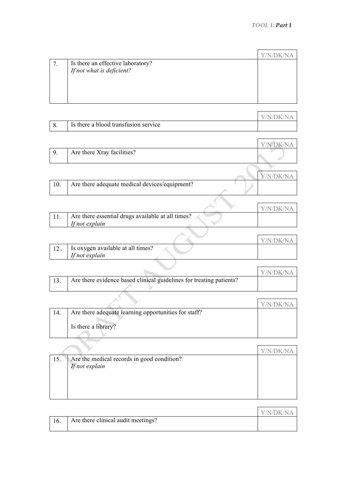| Is there an effective laboratory? |  |
|-----------------------------------|--|
| If not what is deficient?         |  |
|                                   |  |
|                                   |  |
|                                   |  |
|                                   |  |

|                                      | Y/N/DK/NA |
|--------------------------------------|-----------|
| Is there a blood transfusion service |           |

|      |                            | Y/N/DK/NA                              |
|------|----------------------------|----------------------------------------|
| - 9. | Are there Xray facilities? |                                        |
|      |                            | $\mathbf{1}$ $\mathbf{1}$ $\mathbf{1}$ |

|                                               | Y/N/DK/NA |
|-----------------------------------------------|-----------|
| Are there adequate medical devices/equipment? |           |

|                                                   | Y/N/DK/NA |
|---------------------------------------------------|-----------|
| Are there essential drugs available at all times? |           |
| If not explain                                    |           |

|     |                                                     | Y/N/DK/NA |
|-----|-----------------------------------------------------|-----------|
| 12. | Is oxygen available at all times?<br>If not explain |           |
|     |                                                     |           |
|     |                                                     |           |

|                                                                     | Y/N/DK/NA |
|---------------------------------------------------------------------|-----------|
| Are there evidence based clinical guidelines for treating patients? |           |

|     |                                                      | V/N/DK/NA |
|-----|------------------------------------------------------|-----------|
| 14. | Are there adequate learning opportunities for staff? |           |
|     |                                                      |           |
|     | Is there a library?                                  |           |
|     |                                                      |           |

| 15. | Are the medical records in good condition? |  |
|-----|--------------------------------------------|--|
|     | If not explain                             |  |
|     |                                            |  |
|     |                                            |  |
|     |                                            |  |
|     |                                            |  |

|                                    | Y/N/DK/NA |
|------------------------------------|-----------|
| Are there clinical audit meetings? |           |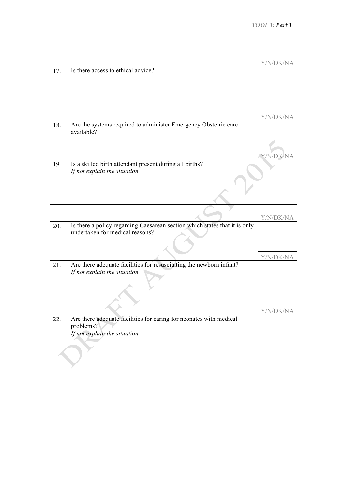|     |                                    | Y/N/DK/NA |
|-----|------------------------------------|-----------|
| 17. | Is there access to ethical advice? |           |

| 18. | Are the systems required to administer Emergency Obstetric care<br>available?           |  |
|-----|-----------------------------------------------------------------------------------------|--|
|     |                                                                                         |  |
|     |                                                                                         |  |
| 19. | Is a skilled birth attendant present during all births?<br>If not explain the situation |  |
|     |                                                                                         |  |
|     |                                                                                         |  |

|                                                                                                               | Y/N/DK/NA |
|---------------------------------------------------------------------------------------------------------------|-----------|
| Is there a policy regarding Caesarean section which states that it is only<br>undertaken for medical reasons? |           |

| 21. | Are there adequate facilities for resuscitating the newborn infant? |  |
|-----|---------------------------------------------------------------------|--|
|     | If not explain the situation                                        |  |
|     |                                                                     |  |
|     |                                                                     |  |
|     |                                                                     |  |

|     |                                                                    | Y/N<br>$\left( \left  \right  \right)$ |
|-----|--------------------------------------------------------------------|----------------------------------------|
| 22. | Are there adequate facilities for caring for neonates with medical |                                        |
|     | problems?                                                          |                                        |
|     | If not explain the situation                                       |                                        |
|     |                                                                    |                                        |
|     |                                                                    |                                        |
|     |                                                                    |                                        |
|     |                                                                    |                                        |
|     |                                                                    |                                        |
|     |                                                                    |                                        |
|     |                                                                    |                                        |
|     |                                                                    |                                        |
|     |                                                                    |                                        |
|     |                                                                    |                                        |
|     |                                                                    |                                        |
|     |                                                                    |                                        |
|     |                                                                    |                                        |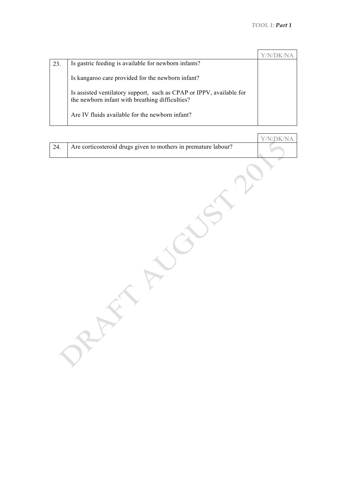| 23 | Is gastric feeding is available for newborn infants?                                                                    |  |
|----|-------------------------------------------------------------------------------------------------------------------------|--|
|    | Is kangaroo care provided for the newborn infant?                                                                       |  |
|    | Is assisted ventilatory support, such as CPAP or IPPV, available for<br>the newborn infant with breathing difficulties? |  |
|    | Are IV fluids available for the newborn infant?                                                                         |  |

|     |                                                                | Y/N/DK/NA |
|-----|----------------------------------------------------------------|-----------|
| 24. | Are corticosteroid drugs given to mothers in premature labour? |           |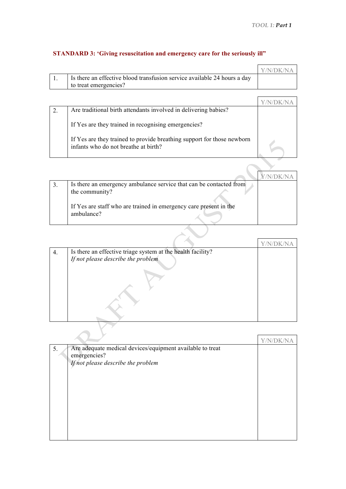$\mathbf{r}$ 

 $\mathcal{L}$ 

|                                                                          | Y/N/DK/NA |
|--------------------------------------------------------------------------|-----------|
| Is there an effective blood transfusion service available 24 hours a day |           |
| to treat emergencies?                                                    |           |

# **STANDARD 3: 'Giving resuscitation and emergency care for the seriously ill"**

|  | Are traditional birth attendants involved in delivering babies?                                                |  |
|--|----------------------------------------------------------------------------------------------------------------|--|
|  | If Yes are they trained in recognising emergencies?                                                            |  |
|  | If Yes are they trained to provide breathing support for those newborn<br>infants who do not breathe at birth? |  |

| Is there an emergency ambulance service that can be contacted from |  |
|--------------------------------------------------------------------|--|
| the community?                                                     |  |
|                                                                    |  |
| If Yes are staff who are trained in emergency care present in the  |  |
| ambulance?                                                         |  |
|                                                                    |  |
|                                                                    |  |

| 4. | Is there an effective triage system at the health facility?<br>If not please describe the problem |  |
|----|---------------------------------------------------------------------------------------------------|--|
|    |                                                                                                   |  |
|    |                                                                                                   |  |

| 5. | Are adequate medical devices/equipment available to treat<br>emergencies? |  |
|----|---------------------------------------------------------------------------|--|
|    | If not please describe the problem                                        |  |
|    |                                                                           |  |
|    |                                                                           |  |
|    |                                                                           |  |
|    |                                                                           |  |
|    |                                                                           |  |
|    |                                                                           |  |
|    |                                                                           |  |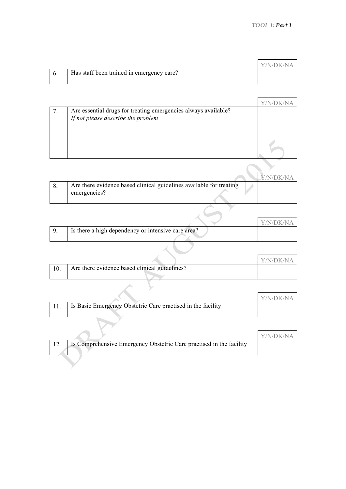|                                           | Y/N/DK/NA |
|-------------------------------------------|-----------|
| Has staff been trained in emergency care? |           |
|                                           |           |

| 7. | Are essential drugs for treating emergencies always available?<br>If not please describe the problem |  |
|----|------------------------------------------------------------------------------------------------------|--|
|    |                                                                                                      |  |
|    |                                                                                                      |  |

|                                                                                     | /N/DR/N |
|-------------------------------------------------------------------------------------|---------|
| Are there evidence based clinical guidelines available for treating<br>emergencies? |         |

|                                                    | Y/N/DK/NA |
|----------------------------------------------------|-----------|
| Is there a high dependency or intensive care area? |           |
|                                                    |           |

|                                               | <b>Y/N/DK/NA</b> |
|-----------------------------------------------|------------------|
| Are there evidence based clinical guidelines? |                  |
|                                               |                  |

|                                                             | Y/N/DK/NA |
|-------------------------------------------------------------|-----------|
| Is Basic Emergency Obstetric Care practised in the facility |           |

 $\rightarrow$  x

|                                                                     | Y/N/DK/NA |
|---------------------------------------------------------------------|-----------|
| Is Comprehensive Emergency Obstetric Care practised in the facility |           |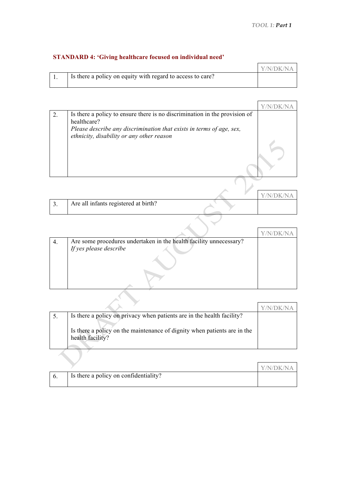÷.

# **STANDARD 4: 'Giving healthcare focused on individual need'**

|                                                            | Y/N/DK/NA |
|------------------------------------------------------------|-----------|
| Is there a policy on equity with regard to access to care? |           |

| Is there a policy to ensure there is no discrimination in the provision of<br>healthcare?<br>Please describe any discrimination that exists in terms of age, sex,<br>ethnicity, disability or any other reason |  |
|----------------------------------------------------------------------------------------------------------------------------------------------------------------------------------------------------------------|--|

|                                      |  | Y/N/DK/NA |
|--------------------------------------|--|-----------|
| Are all infants registered at birth? |  |           |
|                                      |  |           |

| 4. | Are some procedures undertaken in the health facility unnecessary? |  |
|----|--------------------------------------------------------------------|--|
|    | If yes please describe                                             |  |
|    |                                                                    |  |
|    |                                                                    |  |
|    |                                                                    |  |
|    |                                                                    |  |
|    |                                                                    |  |

| Is there a policy on privacy when patients are in the health facility?<br>Is there a policy on the maintenance of dignity when patients are in the<br>health facility? |  |
|------------------------------------------------------------------------------------------------------------------------------------------------------------------------|--|

|                                       | Y/N/DK/NA |
|---------------------------------------|-----------|
| Is there a policy on confidentiality? |           |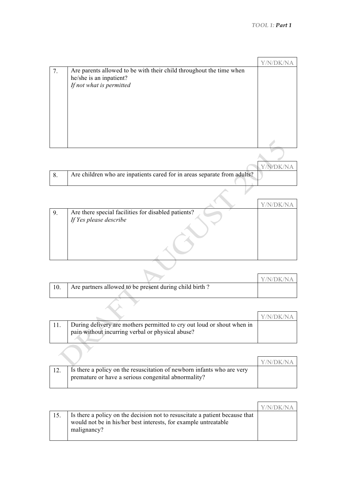| 7. | Are parents allowed to be with their child throughout the time when      |  |
|----|--------------------------------------------------------------------------|--|
|    | he/she is an inpatient?                                                  |  |
|    | If not what is permitted                                                 |  |
|    |                                                                          |  |
|    |                                                                          |  |
|    |                                                                          |  |
|    |                                                                          |  |
|    |                                                                          |  |
|    |                                                                          |  |
|    |                                                                          |  |
|    |                                                                          |  |
|    |                                                                          |  |
|    |                                                                          |  |
| 8. | Are children who are inpatients cared for in areas separate from adults? |  |

| 9. | Are there special facilities for disabled patients? |  |
|----|-----------------------------------------------------|--|
|    | If Yes please describe                              |  |
|    |                                                     |  |
|    |                                                     |  |
|    |                                                     |  |
|    |                                                     |  |
|    |                                                     |  |
|    |                                                     |  |

|                                                        | Y/N/DK/NA |
|--------------------------------------------------------|-----------|
| Are partners allowed to be present during child birth? |           |

| During delivery are mothers permitted to cry out loud or shout when in<br>pain without incurring verbal or physical abuse? |  |
|----------------------------------------------------------------------------------------------------------------------------|--|
|                                                                                                                            |  |

|                                                                                                                               | Y/N/DK/NA |
|-------------------------------------------------------------------------------------------------------------------------------|-----------|
| Is there a policy on the resuscitation of newborn infants who are very<br>premature or have a serious congenital abnormality? |           |

|                                                                                                                                                               | Y/N/DK/NA |
|---------------------------------------------------------------------------------------------------------------------------------------------------------------|-----------|
| Is there a policy on the decision not to resuscitate a patient because that<br>would not be in his/her best interests, for example untreatable<br>malignancy? |           |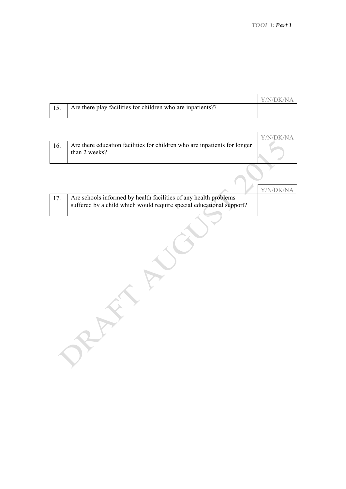|  |                                                             | Y/N/DK/NA |
|--|-------------------------------------------------------------|-----------|
|  | Are there play facilities for children who are inpatients?? |           |

| Are there education facilities for children who are inpatients for longer<br>than 2 weeks? |  |
|--------------------------------------------------------------------------------------------|--|

|                                                                                                                                          | Y/N/DK/NA |
|------------------------------------------------------------------------------------------------------------------------------------------|-----------|
| Are schools informed by health facilities of any health problems<br>suffered by a child which would require special educational support? |           |

AFFER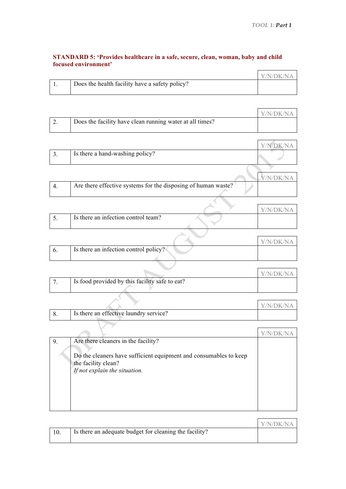$\overline{\phantom{0}}$ 

 $\overline{\phantom{a}}$ 

 $\overline{\phantom{0}}$ 

 $\overline{\phantom{a}}$ 

 $\blacksquare$ 

#### **STANDARD 5: 'Provides healthcare in a safe, secure, clean, woman, baby and child focused environment'**

|                                                | Y/N/DK/NA |
|------------------------------------------------|-----------|
| Does the health facility have a safety policy? |           |
|                                                |           |

|                                                          | Y/N/DK/NA |
|----------------------------------------------------------|-----------|
| Does the facility have clean running water at all times? |           |

| J . | Is there a hand-washing policy? |  |
|-----|---------------------------------|--|
|     |                                 |  |

|                                                               |  | <i>Y</i> /N/DK/NA |
|---------------------------------------------------------------|--|-------------------|
| Are there effective systems for the disposing of human waste? |  |                   |
|                                                               |  |                   |

 $\overline{\mathcal{A}}$  $\Delta_{\rm{c}}$ 

|                                     | Y/N/DR/N |
|-------------------------------------|----------|
| Is there an infection control team? |          |

|                                       | Y/N/DK/NA |
|---------------------------------------|-----------|
| Is there an infection control policy? |           |
|                                       |           |

|                                                | Y/N/DK/NA |
|------------------------------------------------|-----------|
| Is food provided by this facility safe to eat? |           |

|                                        | $\sqrt{N}$<br>V/N |
|----------------------------------------|-------------------|
| Is there an effective laundry service? |                   |

12 

| 9. | Are there cleaners in the facility?<br>Do the cleaners have sufficient equipment and consumables to keep<br>the facility clean?<br>If not explain the situation. |  |
|----|------------------------------------------------------------------------------------------------------------------------------------------------------------------|--|
|    |                                                                                                                                                                  |  |

|                                                        | Y/N/DK/NA |
|--------------------------------------------------------|-----------|
| Is there an adequate budget for cleaning the facility? |           |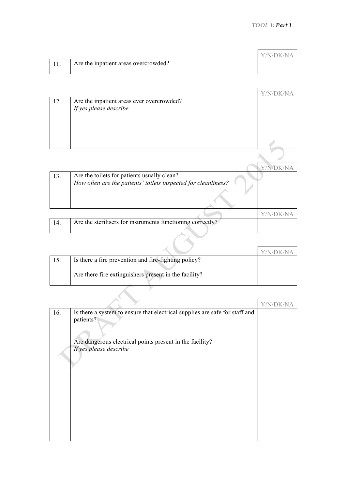|                                      | Y/N/DK/NA |
|--------------------------------------|-----------|
| Are the inpatient areas overcrowded? |           |
|                                      |           |

| 12. | Are the inpatient areas ever overcrowded?<br>If yes please describe                                           |  |
|-----|---------------------------------------------------------------------------------------------------------------|--|
|     |                                                                                                               |  |
|     |                                                                                                               |  |
| 13. | Are the toilets for patients usually clean?<br>How often are the patients' toilets inspected for cleanliness? |  |
|     |                                                                                                               |  |

|                                                            | _ _ _ _ _ _ _ _ _ _ _ _ _ |
|------------------------------------------------------------|---------------------------|
| Are the sterilisers for instruments functioning correctly? |                           |
|                                                            |                           |

| 15. | Is there a fire prevention and fire-fighting policy?  |  |
|-----|-------------------------------------------------------|--|
|     | Are there fire extinguishers present in the facility? |  |
|     |                                                       |  |

|     |                                                                                          | Y/N/DK/NA |
|-----|------------------------------------------------------------------------------------------|-----------|
| 16. | Is there a system to ensure that electrical supplies are safe for staff and<br>patients? |           |
|     | Are dangerous electrical points present in the facility?<br>If yes please describe       |           |
|     |                                                                                          |           |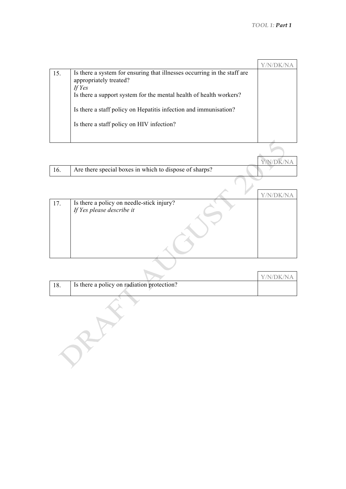| Is there a system for ensuring that illnesses occurring in the staff are<br>15.<br>appropriately treated?<br>If Yes<br>Is there a support system for the mental health of health workers?<br>Is there a staff policy on Hepatitis infection and immunisation?<br>Is there a staff policy on HIV infection? |  |
|------------------------------------------------------------------------------------------------------------------------------------------------------------------------------------------------------------------------------------------------------------------------------------------------------------|--|

|                                                        | Y/N/DK/NA |
|--------------------------------------------------------|-----------|
| Are there special boxes in which to dispose of sharps? |           |

|     |                                           | Y, |
|-----|-------------------------------------------|----|
| 17. | Is there a policy on needle-stick injury? |    |
|     | If Yes please describe it                 |    |
|     |                                           |    |
|     |                                           |    |
|     |                                           |    |
|     |                                           |    |
|     |                                           |    |
|     |                                           |    |
|     |                                           |    |

|     |                                            | Y/N/DK/NA |
|-----|--------------------------------------------|-----------|
| 18. | Is there a policy on radiation protection? |           |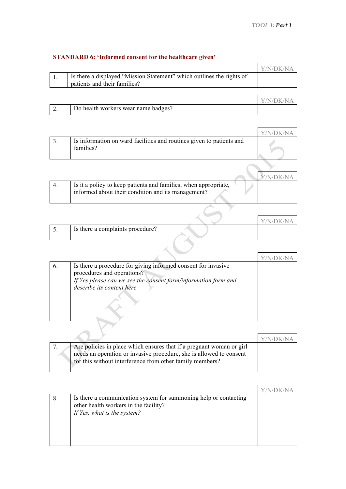$\overline{\mathbf{1}}$ 

 $\blacktriangledown$ 

# **STANDARD 6: 'Informed consent for the healthcare given'**

|                                                                       | Y/N/DK/NA |
|-----------------------------------------------------------------------|-----------|
| Is there a displayed "Mission Statement" which outlines the rights of |           |
| patients and their families?                                          |           |

|          |                                     | Y/N/DK/NA |
|----------|-------------------------------------|-----------|
| <u>.</u> | Do health workers wear name badges? |           |

|                                                                                   | Y/N/DK/NA |
|-----------------------------------------------------------------------------------|-----------|
| Is information on ward facilities and routines given to patients and<br>families? |           |

| Is it a policy to keep patients and families, when appropriate, |  |
|-----------------------------------------------------------------|--|
| informed about their condition and its management?              |  |
|                                                                 |  |

|                                  | Y/N/DK/N |
|----------------------------------|----------|
| Is there a complaints procedure? |          |

 $\mathcal{A}$ 

 $\sum$ 

| $\mathbf b$ . | Is there a procedure for giving informed consent for invasive<br>procedures and operations?<br>If Yes please can we see the consent form/information form and<br>describe its content here |  |
|---------------|--------------------------------------------------------------------------------------------------------------------------------------------------------------------------------------------|--|

|                                                                                                                                                                                                         | V/N/DK/N |
|---------------------------------------------------------------------------------------------------------------------------------------------------------------------------------------------------------|----------|
| Are policies in place which ensures that if a pregnant woman or girl<br>needs an operation or invasive procedure, she is allowed to consent<br>for this without interference from other family members? |          |

| 8. | Is there a communication system for summoning help or contacting<br>other health workers in the facility?<br>If Yes, what is the system? |  |
|----|------------------------------------------------------------------------------------------------------------------------------------------|--|
|    |                                                                                                                                          |  |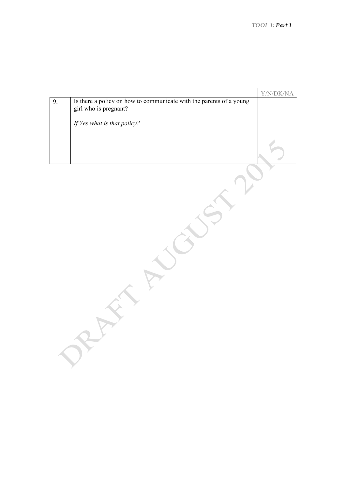$\overline{a}$ 

| Is there a policy on how to communicate with the parents of a young<br>9.<br>girl who is pregnant?<br>If Yes what is that policy? |  | Y/N/DK/NA |
|-----------------------------------------------------------------------------------------------------------------------------------|--|-----------|
|                                                                                                                                   |  |           |
|                                                                                                                                   |  |           |
|                                                                                                                                   |  |           |
|                                                                                                                                   |  |           |
|                                                                                                                                   |  |           |
|                                                                                                                                   |  |           |
|                                                                                                                                   |  |           |
|                                                                                                                                   |  |           |
|                                                                                                                                   |  |           |
|                                                                                                                                   |  |           |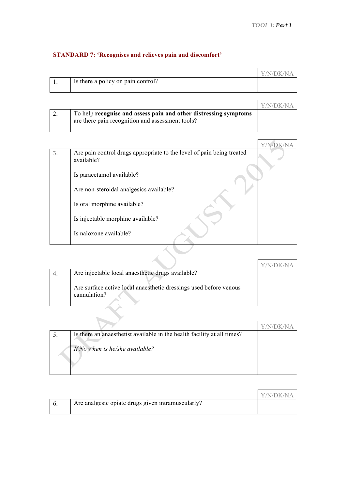## **STANDARD 7: 'Recognises and relieves pain and discomfort'**

|                                    | Y/N/DK/NA |
|------------------------------------|-----------|
| Is there a policy on pain control? |           |
|                                    |           |

|                                                                                                                      | Y/N/DK/NA |
|----------------------------------------------------------------------------------------------------------------------|-----------|
| To help recognise and assess pain and other distressing symptoms<br>are there pain recognition and assessment tools? |           |

| 3. | Are pain control drugs appropriate to the level of pain being treated<br>available? |  |
|----|-------------------------------------------------------------------------------------|--|
|    | Is paracetamol available?                                                           |  |
|    | Are non-steroidal analgesics available?                                             |  |
|    | Is oral morphine available?                                                         |  |
|    | Is injectable morphine available?                                                   |  |
|    | Is naloxone available?                                                              |  |
|    |                                                                                     |  |

| Are injectable local anaesthetic drugs available?                 |  |
|-------------------------------------------------------------------|--|
| Are surface active local anaesthetic dressings used before venous |  |
| cannulation?                                                      |  |
|                                                                   |  |
|                                                                   |  |
|                                                                   |  |

|                                 | Is there an anaesthetist available in the health facility at all times? |  |
|---------------------------------|-------------------------------------------------------------------------|--|
| If No when is he/she available? |                                                                         |  |

|                                                   | Y/N/DK/NA |
|---------------------------------------------------|-----------|
| Are analgesic opiate drugs given intramuscularly? |           |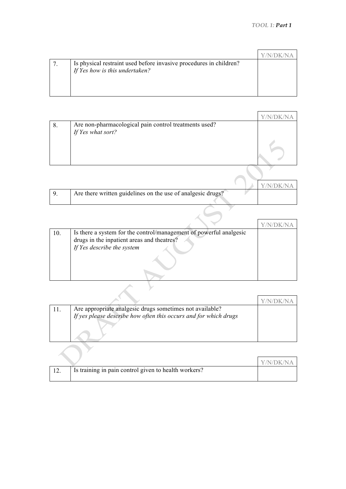| Is physical restraint used before invasive procedures in children?<br>If Yes how is this undertaken? |  |
|------------------------------------------------------------------------------------------------------|--|

| 8. | Are non-pharmacological pain control treatments used? |  |
|----|-------------------------------------------------------|--|
|    | If Yes what sort?                                     |  |
|    |                                                       |  |
|    |                                                       |  |
|    |                                                       |  |

|                                                             | Y/N/DK/NA |
|-------------------------------------------------------------|-----------|
| Are there written guidelines on the use of analgesic drugs? |           |
|                                                             |           |

| 10. | Is there a system for the control/management of powerful analgesic |  |
|-----|--------------------------------------------------------------------|--|
|     | drugs in the inpatient areas and theatres?                         |  |
|     | If Yes describe the system                                         |  |
|     |                                                                    |  |
|     |                                                                    |  |

| 11. | Are appropriate analgesic drugs sometimes not available?<br>If yes please describe how often this occurs and for which drugs |  |
|-----|------------------------------------------------------------------------------------------------------------------------------|--|
|     |                                                                                                                              |  |

|                 |                                                      | Y/N/DK/NA |
|-----------------|------------------------------------------------------|-----------|
| $\overline{12}$ | Is training in pain control given to health workers? |           |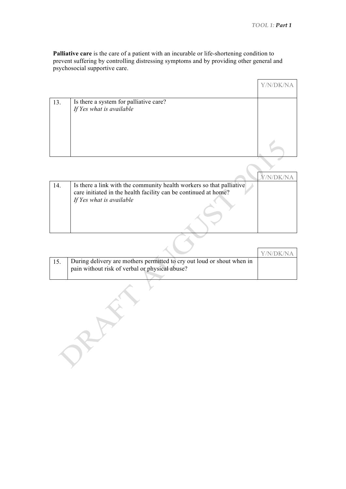**Palliative care** is the care of a patient with an incurable or life-shortening condition to prevent suffering by controlling distressing symptoms and by providing other general and psychosocial supportive care.

| Is there a system for palliative care?<br>If Yes what is available<br>13. |  | Y/N/DK/ |
|---------------------------------------------------------------------------|--|---------|
|                                                                           |  |         |
|                                                                           |  |         |
|                                                                           |  |         |

| 14. | Is there a link with the community health workers so that palliative |  |
|-----|----------------------------------------------------------------------|--|
|     | care initiated in the health facility can be continued at home?      |  |
|     | If Yes what is available                                             |  |
|     |                                                                      |  |
|     |                                                                      |  |
|     |                                                                      |  |
|     |                                                                      |  |

|                                                                        | Y/N/DK/NA |
|------------------------------------------------------------------------|-----------|
| During delivery are mothers permitted to cry out loud or shout when in |           |
| pain without risk of verbal or physical abuse?                         |           |
|                                                                        |           |

 $\backslash$ 

AFT.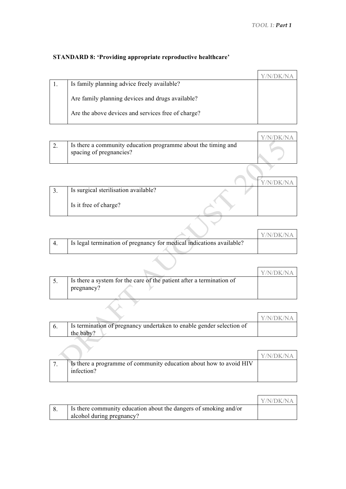र ÿ

# **STANDARD 8: 'Providing appropriate reproductive healthcare'**

| Is family planning advice freely available?        |  |
|----------------------------------------------------|--|
| Are family planning devices and drugs available?   |  |
| Are the above devices and services free of charge? |  |

|  |                                                                                          | Y/N/DK/NA |
|--|------------------------------------------------------------------------------------------|-----------|
|  | Is there a community education programme about the timing and<br>spacing of pregnancies? |           |

| Is surgical sterilisation available? |  |
|--------------------------------------|--|
| Is it free of charge?                |  |

|                                                                      | Y/N/DK/NA |
|----------------------------------------------------------------------|-----------|
| Is legal termination of pregnancy for medical indications available? |           |
|                                                                      |           |

|                                                                                    | Y/N/DK/NA |
|------------------------------------------------------------------------------------|-----------|
| Is there a system for the care of the patient after a termination of<br>pregnancy? |           |

|                                                                                   | Y/N/DK/NA |
|-----------------------------------------------------------------------------------|-----------|
| Is termination of pregnancy undertaken to enable gender selection of<br>the baby? |           |

|                                                                                  | Y/N/DK/NA |
|----------------------------------------------------------------------------------|-----------|
| Is there a programme of community education about how to avoid HIV<br>infection? |           |
|                                                                                  |           |

|                                                                  | Y/N/DK/NA |
|------------------------------------------------------------------|-----------|
| Is there community education about the dangers of smoking and/or |           |
| alcohol during pregnancy?                                        |           |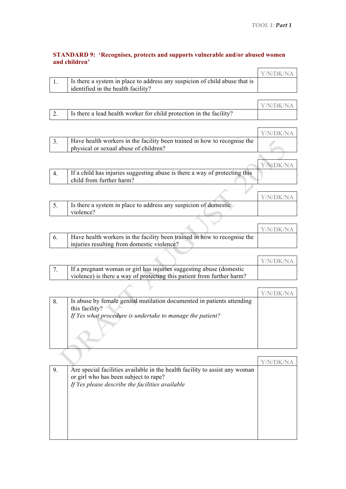$\overline{a}$ 

#### **STANDARD 9: 'Recognises, protects and supports vulnerable and/or abused women and children'**

| Is there a system in place to address any suspicion of child abuse that is | Y/N/DK/NA |
|----------------------------------------------------------------------------|-----------|
|                                                                            |           |
| identified in the health facility?                                         |           |
|                                                                            |           |
|                                                                            | Y/N/DK/NA |

|  | Is there a lead health worker for child protection in the facility? |           |
|--|---------------------------------------------------------------------|-----------|
|  |                                                                     |           |
|  |                                                                     | Y/N/DK/NA |
|  | .                                                                   |           |

| 3.  | Have health workers in the facility been trained in how to recognise the<br>physical or sexual abuse of children? |  |
|-----|-------------------------------------------------------------------------------------------------------------------|--|
|     |                                                                                                                   |  |
|     |                                                                                                                   |  |
| -4. | If a child has injuries suggesting abuse is there a way of protecting this                                        |  |
|     | child from further harm?                                                                                          |  |
|     |                                                                                                                   |  |

|                                                                 | V/N/DK/NA |
|-----------------------------------------------------------------|-----------|
| Is there a system in place to address any suspicion of domestic |           |
| violence?                                                       |           |
|                                                                 |           |

|                                                                          | <b>Y/N/DK/NA</b> |
|--------------------------------------------------------------------------|------------------|
| Have health workers in the facility been trained in how to recognise the |                  |
| injuries resulting from domestic violence?                               |                  |

|                                                                        | Y/N/DK/NA |
|------------------------------------------------------------------------|-----------|
| If a pregnant woman or girl has injuries suggesting abuse (domestic    |           |
| violence) is there a way of protecting this patient from further harm? |           |

| 8. | Is abuse by female genital mutilation documented in patients attending |  |
|----|------------------------------------------------------------------------|--|
|    | this facility?                                                         |  |
|    | If Yes what procedure is undertake to manage the patient?              |  |
|    |                                                                        |  |
|    |                                                                        |  |

| 9. | Are special facilities available in the health facility to assist any woman<br>or girl who has been subject to rape?<br>If Yes please describe the facilities available |  |
|----|-------------------------------------------------------------------------------------------------------------------------------------------------------------------------|--|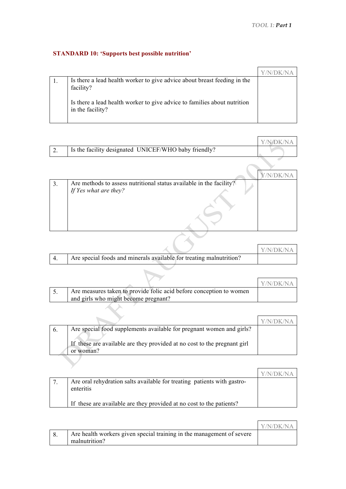# **STANDARD 10: 'Supports best possible nutrition'**

| Is there a lead health worker to give advice about breast feeding in the<br>facility?        |  |
|----------------------------------------------------------------------------------------------|--|
| Is there a lead health worker to give advice to families about nutrition<br>in the facility? |  |

|           |                                                      | Y/N/DK/NA |
|-----------|------------------------------------------------------|-----------|
| <u>L.</u> | Is the facility designated UNICEF/WHO baby friendly? |           |

| 3. | Are methods to assess nutritional status available in the facility?<br>If Yes what are they? |  |
|----|----------------------------------------------------------------------------------------------|--|
|    |                                                                                              |  |

|                                                                     | Y/N/DK/NA |
|---------------------------------------------------------------------|-----------|
| Are special foods and minerals available for treating malnutrition? |           |

7

|                                                                     | V/N/DK/NA |
|---------------------------------------------------------------------|-----------|
| Are measures taken to provide folic acid before conception to women |           |
| and girls who might become pregnant?                                |           |

|                                                                          | V/N/DK/N |
|--------------------------------------------------------------------------|----------|
| Are special food supplements available for pregnant women and girls?     |          |
| If these are available are they provided at no cost to the pregnant girl |          |
| or woman?                                                                |          |

|                                                                                      | Y/N/DK/NA |
|--------------------------------------------------------------------------------------|-----------|
| Are oral rehydration salts available for treating patients with gastro-<br>enteritis |           |
| If these are available are they provided at no cost to the patients?                 |           |

|                                                                       | Y/N/DK/NA |
|-----------------------------------------------------------------------|-----------|
| Are health workers given special training in the management of severe |           |
| malnutrition?                                                         |           |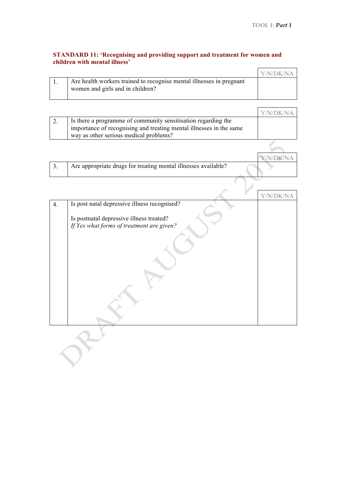$\mathbf{r}$ 

#### **STANDARD 11: 'Recognising and providing support and treatment for women and children with mental illness'**

|                                                                                                          | Y/N/DK/NA |
|----------------------------------------------------------------------------------------------------------|-----------|
| Are health workers trained to recognise mental illnesses in pregnant<br>women and girls and in children? |           |

|                                                                     | Y/N/ijk/NA |
|---------------------------------------------------------------------|------------|
| Is there a programme of community sensitisation regarding the       |            |
| importance of recognising and treating mental illnesses in the same |            |
| way as other serious medical problems?                              |            |
|                                                                     |            |

|                                                                | N/DK/NA |
|----------------------------------------------------------------|---------|
| Are appropriate drugs for treating mental illnesses available? |         |
|                                                                |         |
|                                                                |         |
|                                                                |         |

|    |                                                                                       | Y/N |
|----|---------------------------------------------------------------------------------------|-----|
| 4. | Is post natal depressive illness recognised?                                          |     |
|    | Is postnatal depressive illness treated?<br>If Yes what forms of treatment are given? |     |
|    |                                                                                       |     |
|    |                                                                                       |     |
|    |                                                                                       |     |
|    |                                                                                       |     |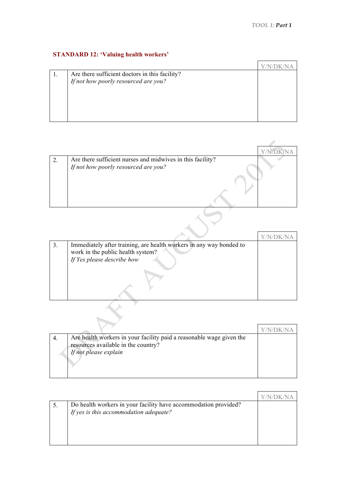# **STANDARD 12: 'Valuing health workers'**

| Are there sufficient doctors in this facility? |                                      |
|------------------------------------------------|--------------------------------------|
|                                                |                                      |
|                                                |                                      |
|                                                |                                      |
|                                                | If not how poorly resourced are you? |

| Are there sufficient nurses and midwives in this facility?<br>If not how poorly resourced are you? |  |
|----------------------------------------------------------------------------------------------------|--|
|                                                                                                    |  |
|                                                                                                    |  |

| Immediately after training, are health workers in any way bonded to<br>work in the public health system?<br>If Yes please describe how |  |
|----------------------------------------------------------------------------------------------------------------------------------------|--|
|                                                                                                                                        |  |

 $\rightarrow$ 

| Are health workers in your facility paid a reasonable wage given the<br>resources available in the country?<br>If not please explain |  |
|--------------------------------------------------------------------------------------------------------------------------------------|--|
|                                                                                                                                      |  |

| Do health workers in your facility have accommodation provided?<br>If yes is this accommodation adequate? |  |
|-----------------------------------------------------------------------------------------------------------|--|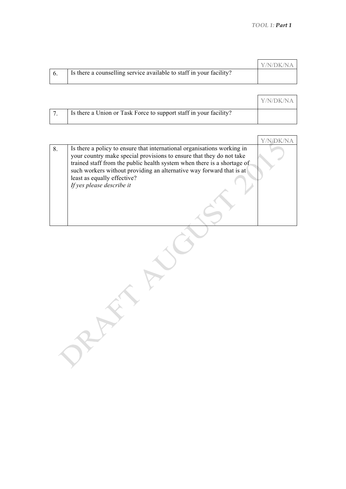|  |                                                                     | <b>Y/N/DK/NA</b> |
|--|---------------------------------------------------------------------|------------------|
|  | Is there a counselling service available to staff in your facility? |                  |

|                                                                   | Y/N/DK/NA |
|-------------------------------------------------------------------|-----------|
| Is there a Union or Task Force to support staff in your facility? |           |

|    |                                                                                                                                                                                                                                                                                                                                                                | Y/N/DK/NA |
|----|----------------------------------------------------------------------------------------------------------------------------------------------------------------------------------------------------------------------------------------------------------------------------------------------------------------------------------------------------------------|-----------|
| 8. | Is there a policy to ensure that international organisations working in<br>your country make special provisions to ensure that they do not take<br>trained staff from the public health system when there is a shortage of<br>such workers without providing an alternative way forward that is at<br>least as equally effective?<br>If yes please describe it |           |
|    |                                                                                                                                                                                                                                                                                                                                                                |           |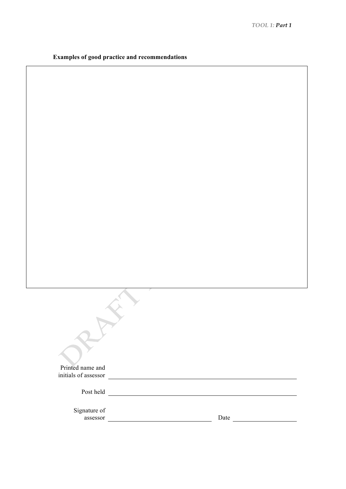|  |  |  |  | <b>Examples of good practice and recommendations</b> |
|--|--|--|--|------------------------------------------------------|
|--|--|--|--|------------------------------------------------------|

| Printed name and<br>initials of assessor |  |      |  |
|------------------------------------------|--|------|--|
| Post held                                |  |      |  |
| Signature of<br>assessor                 |  | Date |  |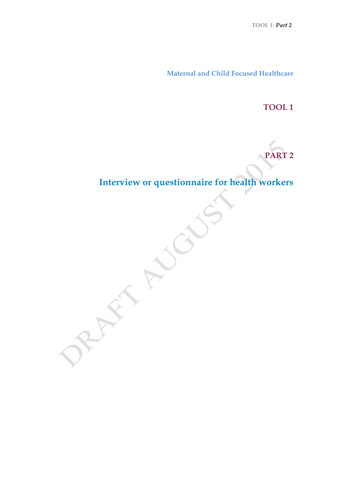*TOOL 1: Part 2*

**Maternal and Child Focused Healthcare**

**TOOL 1**

**PART 2**

**Interview or questionnaire for health workers**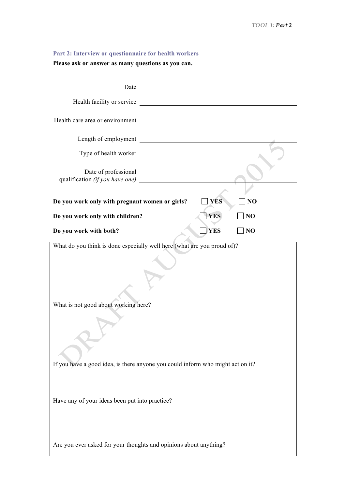## **Part 2: Interview or questionnaire for health workers**

**Please ask or answer as many questions as you can.**

| Date                                                                           |  |
|--------------------------------------------------------------------------------|--|
| Health facility or service                                                     |  |
| Health care area or environment                                                |  |
| <u> 1980 - Johann Barbara, martxa amerikan per</u><br>Length of employment     |  |
| Type of health worker                                                          |  |
| Date of professional<br>qualification (if you have one)                        |  |
| Do you work only with pregnant women or girls?<br><b>YES</b><br>NO             |  |
| <b>YES</b><br>Do you work only with children?<br>N <sub>O</sub>                |  |
| <b>YES</b><br>NO<br>Do you work with both?                                     |  |
| What do you think is done especially well here (what are you proud of)?        |  |
|                                                                                |  |
| What is not good about working here?                                           |  |
|                                                                                |  |
| If you have a good idea, is there anyone you could inform who might act on it? |  |
| Have any of your ideas been put into practice?                                 |  |
| Are you ever asked for your thoughts and opinions about anything?              |  |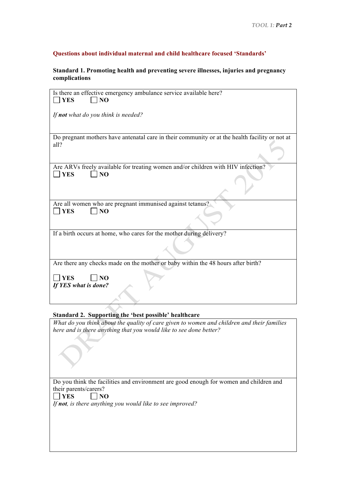#### **Questions about individual maternal and child healthcare focused 'Standards'**

#### **Standard 1. Promoting health and preventing severe illnesses, injuries and pregnancy complications**

| Is there an effective emergency ambulance service available here?<br><b>YES</b><br>N <sub>O</sub>                |
|------------------------------------------------------------------------------------------------------------------|
| If not what do you think is needed?                                                                              |
| Do pregnant mothers have antenatal care in their community or at the health facility or not at<br>all?           |
| Are ARVs freely available for treating women and/or children with HIV infection?<br><b>YES</b><br>N <sub>O</sub> |
| Are all women who are pregnant immunised against tetanus?<br>N <sub>O</sub><br><b>YES</b>                        |
| If a birth occurs at home, who cares for the mother during delivery?                                             |
| Are there any checks made on the mother or baby within the 48 hours after birth?                                 |
| N <sub>O</sub><br><b>YES</b><br>If YES what is done?                                                             |
| Standard 2. Supporting the 'best possible' healthcare                                                            |

*What do you think about the quality of care given to women and children and their families here and is there anything that you would like to see done better?* 

Do you think the facilities and environment are good enough for women and children and their parents/carers?<br> $\Box$  YES  $\Box$  NO

 $\Box$  NO *If not, is there anything you would like to see improved?*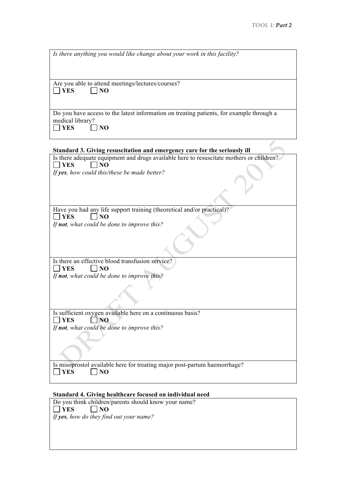| Is there anything you would like change about your work in this facility?                |
|------------------------------------------------------------------------------------------|
|                                                                                          |
|                                                                                          |
|                                                                                          |
|                                                                                          |
| Are you able to attend meetings/lectures/courses?                                        |
| <b>YES</b><br>NO                                                                         |
|                                                                                          |
|                                                                                          |
|                                                                                          |
| Do you have access to the latest information on treating patients, for example through a |
| medical library?                                                                         |
| NO<br><b>YES</b>                                                                         |
|                                                                                          |
|                                                                                          |
|                                                                                          |
| Standard 3. Giving resuscitation and emergency care for the seriously ill                |
| Is there adequate equipment and drugs available here to resuscitate mothers or children? |
| N <sub>O</sub><br><b>YES</b>                                                             |
| If yes, how could this/these be made better?                                             |
|                                                                                          |
|                                                                                          |
|                                                                                          |
|                                                                                          |
|                                                                                          |
|                                                                                          |
| Have you had any life support training (theoretical and/or practical)?                   |
| YES<br>NO                                                                                |
| If not, what could be done to improve this?                                              |
|                                                                                          |
|                                                                                          |
|                                                                                          |
|                                                                                          |
|                                                                                          |
| Is there an effective blood transfusion service?                                         |
| <b>YES</b><br>N <sub>O</sub>                                                             |
|                                                                                          |
| If not, what could be done to improve this?                                              |
|                                                                                          |
|                                                                                          |
|                                                                                          |
|                                                                                          |
|                                                                                          |
| Is sufficient oxygen available here on a continuous basis?                               |
| N <sub>O</sub><br><b>YES</b>                                                             |
| If not, what could be done to improve this?                                              |
|                                                                                          |
|                                                                                          |
|                                                                                          |
|                                                                                          |
|                                                                                          |
| Is misoprostol available here for treating major post-partum haemorrhage?                |
| <b>YES</b><br>N <sub>O</sub>                                                             |
|                                                                                          |
|                                                                                          |

# **Standard 4. Giving healthcare focused on individual need**

Do you think children/parents should know your name?<br> $\Box$  YES  $\Box$  NO  $\Box$ NO *If yes, how do they find out your name?*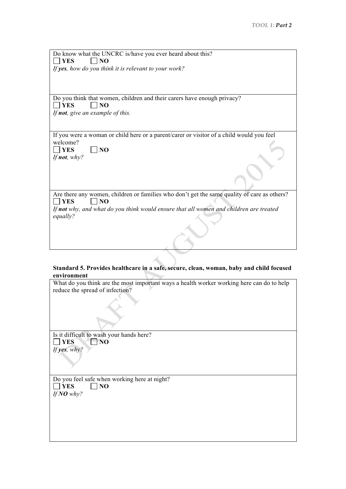| Do know what the UNCRC is/have you ever heard about this?                                   |
|---------------------------------------------------------------------------------------------|
| <b>YES</b><br>$\overline{NQ}$                                                               |
|                                                                                             |
| If yes, how do you think it is relevant to your work?                                       |
|                                                                                             |
|                                                                                             |
|                                                                                             |
| Do you think that women, children and their carers have enough privacy?                     |
| <b>I</b> YES<br>$\overline{N}$                                                              |
|                                                                                             |
| If <b>not</b> , give an example of this.                                                    |
|                                                                                             |
|                                                                                             |
| If you were a woman or child here or a parent/carer or visitor of a child would you feel    |
| welcome?                                                                                    |
| <b>YES</b>                                                                                  |
| N <sub>O</sub>                                                                              |
| If <b>not</b> , why?                                                                        |
|                                                                                             |
|                                                                                             |
|                                                                                             |
|                                                                                             |
|                                                                                             |
| Are there any women, children or families who don't get the same quality of care as others? |
| YES<br>N <sub>O</sub>                                                                       |
| If not why, and what do you think would ensure that all women and children are treated      |
| equally?                                                                                    |
|                                                                                             |
|                                                                                             |
|                                                                                             |
|                                                                                             |

#### **Standard 5. Provides healthcare in a safe, secure, clean, woman, baby and child focused environment**

What do you think are the most important ways a health worker working here can do to help reduce the spread of infection?

Is it difficult to wash your hands here?<br> $\Box$  YES  $\Box$  NO  $T$ NO<sup>'</sup> *If yes, why?*

Do you feel safe when working here at night?<br> $\Box$  YES  $\Box$  NO  $\Box$  NO *If NO why?*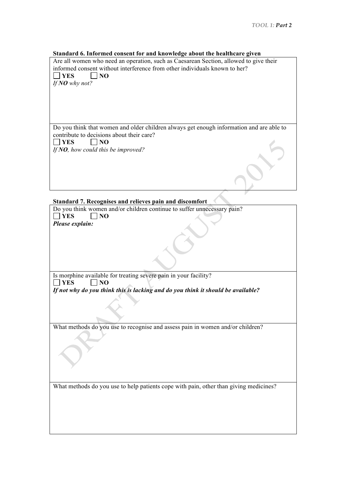#### **Standard 6. Informed consent for and knowledge about the healthcare given**

Are all women who need an operation, such as Caesarean Section, allowed to give their informed consent without interference from other individuals known to her?  $\Box$  YES  $\Box$  NO

*If NO why not?*

Do you think that women and older children always get enough information and are able to contribute to decisions about their care?  $\Box$  YES  $\Box$  NO *If NO, how could this be improved?*

#### **Standard 7. Recognises and relieves pain and discomfort**

Do you think women and/or children continue to suffer unnecessary pain? **YES NO** *Please explain:*

Is morphine available for treating severe pain in your facility?  $\Box$  YES  $\Box$  NO

*If not why do you think this is lacking and do you think it should be available?*

What methods do you use to recognise and assess pain in women and/or children?

What methods do you use to help patients cope with pain, other than giving medicines?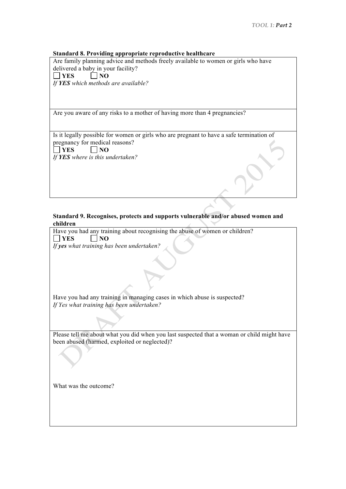#### **Standard 8. Providing appropriate reproductive healthcare**

Are family planning advice and methods freely available to women or girls who have delivered a baby in your facility?<br> $\Box$  YES  $\Box$  NO  $\dot{\square}$  NO

*If YES which methods are available?*

Are you aware of any risks to a mother of having more than 4 pregnancies?

Is it legally possible for women or girls who are pregnant to have a safe termination of pregnancy for medical reasons?  $\overline{\Box}$ YES  $\overline{\Box}$ NO *If YES where is this undertaken?*

#### **Standard 9. Recognises, protects and supports vulnerable and/or abused women and children**

Have you had any training about recognising the abuse of women or children?

| <b>YES</b><br>NO                                                                           |
|--------------------------------------------------------------------------------------------|
| If yes what training has been undertaken?                                                  |
|                                                                                            |
|                                                                                            |
|                                                                                            |
|                                                                                            |
|                                                                                            |
|                                                                                            |
| Have you had any training in managing cases in which abuse is suspected?                   |
| If Yes what training has been undertaken?                                                  |
|                                                                                            |
|                                                                                            |
|                                                                                            |
| Please tell me about what you did when you last suspected that a woman or child might have |
| been abused (harmed, exploited or neglected)?                                              |
|                                                                                            |
|                                                                                            |
|                                                                                            |
|                                                                                            |
|                                                                                            |
|                                                                                            |
|                                                                                            |
| What was the outcome?                                                                      |
|                                                                                            |
|                                                                                            |
|                                                                                            |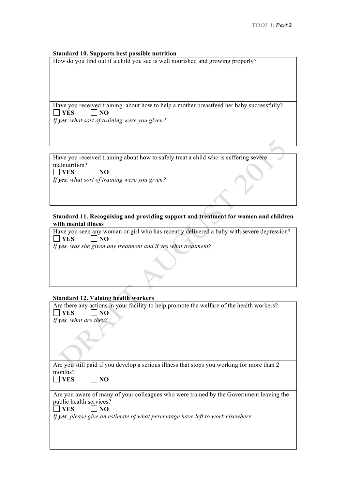#### **Standard 10. Supports best possible nutrition**

How do you find out if a child you see is well nourished and growing properly?

Have you received training about how to help a mother breastfeed her baby successfully?  $\Box$  YES  $\Box$  NO *If yes, what sort of training were you given?*

Have you received training about how to safely treat a child who is suffering severe malnutrition?<br> $\Box$  **YES**  $\Box$  NO

*If yes, what sort of training were you given?*

#### **Standard 11. Recognising and providing support and treatment for women and children with mental illness**

Have you seen any woman or girl who has recently delivered a baby with severe depression?<br>  $\Box$  YES  $\Box$  NO  $\Box$ **NO** *If yes, was she given any treatment and if yes what treatment?* 

#### **Standard 12. Valuing health workers**

| Are there any actions in your facility to help promote the welfare of the health workers?<br><b>YES</b><br>NO |  |  |
|---------------------------------------------------------------------------------------------------------------|--|--|
| If yes, what are they?                                                                                        |  |  |
|                                                                                                               |  |  |
|                                                                                                               |  |  |
| Are you still paid if you develop a serious illness that stops you working for more than 2                    |  |  |
| months?                                                                                                       |  |  |
| <b>YES</b><br>NO                                                                                              |  |  |
|                                                                                                               |  |  |
| Are you aware of many of your colleagues who were trained by the Government leaving the                       |  |  |
| public health services?                                                                                       |  |  |
| <b>YES</b><br>NO                                                                                              |  |  |
| If yes, please give an estimate of what percentage have left to work elsewhere                                |  |  |
|                                                                                                               |  |  |
|                                                                                                               |  |  |
|                                                                                                               |  |  |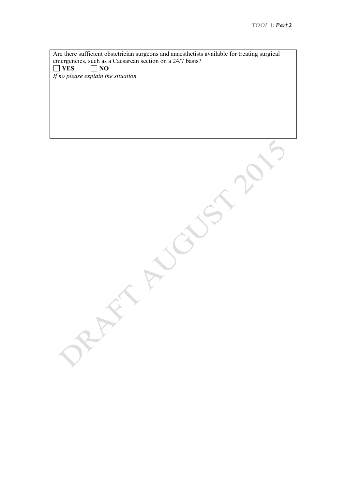Are there sufficient obstetrician surgeons and anaesthetists available for treating surgical emergencies, such as a Caesarean section on a 24/7 basis?<br>  $\Box$  YES  $\Box$  NO  $\Box$  NO *If no please explain the situation*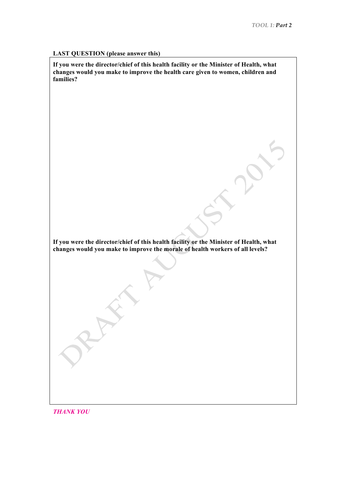#### **LAST QUESTION (please answer this)**

**If you were the director/chief of this health facility or the Minister of Health, what changes would you make to improve the health care given to women, children and families?**

**If you were the director/chief of this health facility or the Minister of Health, what changes would you make to improve the morale of health workers of all levels?**

*THANK YOU*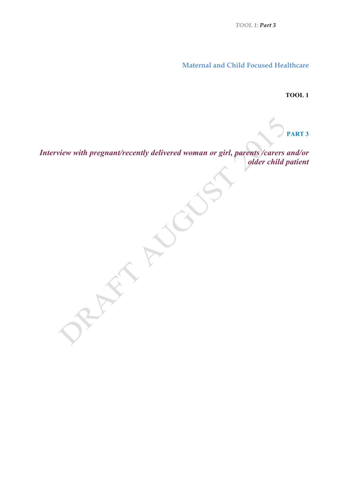*TOOL 1: Part 3*

**Maternal and Child Focused Healthcare**

**TOOL 1**

**PART 3**

*Interview with pregnant/recently delivered woman or girl, parents /carers and/or older child patient*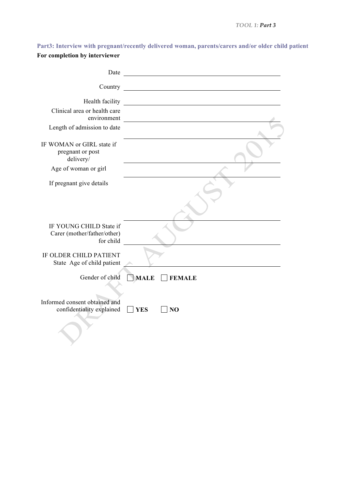**Part3: Interview with pregnant/recently delivered woman, parents/carers and/or older child patient For completion by interviewer**

| Date                                                                |                                                       |
|---------------------------------------------------------------------|-------------------------------------------------------|
| Country                                                             |                                                       |
| Health facility                                                     | <u> 1989 - Johann Stein, fransk politik (d. 1989)</u> |
| Clinical area or health care<br>environment                         |                                                       |
| Length of admission to date                                         |                                                       |
| IF WOMAN or GIRL state if<br>pregnant or post<br>delivery/          |                                                       |
| Age of woman or girl                                                |                                                       |
| If pregnant give details                                            |                                                       |
| IF YOUNG CHILD State if<br>Carer (mother/father/other)<br>for child |                                                       |
| IF OLDER CHILD PATIENT<br>State Age of child patient                |                                                       |
| Gender of child                                                     | <b>MALE</b><br><b>FEMALE</b>                          |
| Informed consent obtained and<br>confidentiality explained          | <b>YES</b><br>N <sub>O</sub>                          |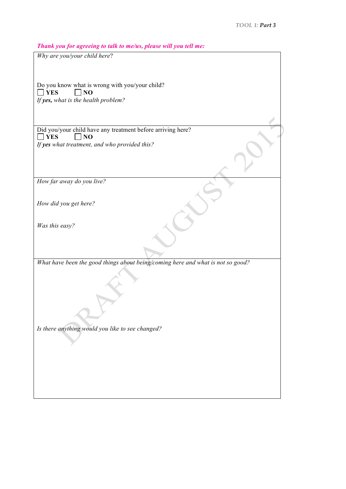*Thank you for agreeing to talk to me/us, please will you tell me:*

| $\ldots$ , $\ldots$ , $\ldots$ , $\ldots$ , $\ldots$ , $\ldots$ , $\ldots$ , $\ldots$ , $\ldots$ , $\ldots$ , $\ldots$ , $\ldots$ , $\ldots$ , $\ldots$ , $\ldots$ , $\ldots$ , $\ldots$ , $\ldots$ , $\ldots$ , $\ldots$ , $\ldots$ , $\ldots$ , $\ldots$ , $\ldots$ , $\ldots$ , $\ldots$ , $\ldots$ , $\ldots$ , $\ldots$ , $\ldots$ , $\ldots$ , $\ldots$ |
|---------------------------------------------------------------------------------------------------------------------------------------------------------------------------------------------------------------------------------------------------------------------------------------------------------------------------------------------------------------|
| Why are you/your child here?                                                                                                                                                                                                                                                                                                                                  |
|                                                                                                                                                                                                                                                                                                                                                               |
|                                                                                                                                                                                                                                                                                                                                                               |
| Do you know what is wrong with you/your child?                                                                                                                                                                                                                                                                                                                |
| <b>YES</b><br>NO                                                                                                                                                                                                                                                                                                                                              |
| If yes, what is the health problem?                                                                                                                                                                                                                                                                                                                           |
|                                                                                                                                                                                                                                                                                                                                                               |
|                                                                                                                                                                                                                                                                                                                                                               |
|                                                                                                                                                                                                                                                                                                                                                               |
| Did you/your child have any treatment before arriving here?                                                                                                                                                                                                                                                                                                   |
| $\Box$ YES<br>$\Box$ NO                                                                                                                                                                                                                                                                                                                                       |
| If yes what treatment, and who provided this?                                                                                                                                                                                                                                                                                                                 |
|                                                                                                                                                                                                                                                                                                                                                               |
|                                                                                                                                                                                                                                                                                                                                                               |
|                                                                                                                                                                                                                                                                                                                                                               |
|                                                                                                                                                                                                                                                                                                                                                               |
| How far away do you live?                                                                                                                                                                                                                                                                                                                                     |
|                                                                                                                                                                                                                                                                                                                                                               |
|                                                                                                                                                                                                                                                                                                                                                               |
| How did you get here?                                                                                                                                                                                                                                                                                                                                         |
|                                                                                                                                                                                                                                                                                                                                                               |
|                                                                                                                                                                                                                                                                                                                                                               |
| Was this easy?                                                                                                                                                                                                                                                                                                                                                |
|                                                                                                                                                                                                                                                                                                                                                               |
|                                                                                                                                                                                                                                                                                                                                                               |
|                                                                                                                                                                                                                                                                                                                                                               |
| What have been the good things about being/coming here and what is not so good?                                                                                                                                                                                                                                                                               |
|                                                                                                                                                                                                                                                                                                                                                               |
|                                                                                                                                                                                                                                                                                                                                                               |
|                                                                                                                                                                                                                                                                                                                                                               |
|                                                                                                                                                                                                                                                                                                                                                               |
|                                                                                                                                                                                                                                                                                                                                                               |
|                                                                                                                                                                                                                                                                                                                                                               |
|                                                                                                                                                                                                                                                                                                                                                               |
|                                                                                                                                                                                                                                                                                                                                                               |
| Is there anything would you like to see changed?                                                                                                                                                                                                                                                                                                              |
|                                                                                                                                                                                                                                                                                                                                                               |
|                                                                                                                                                                                                                                                                                                                                                               |
|                                                                                                                                                                                                                                                                                                                                                               |
|                                                                                                                                                                                                                                                                                                                                                               |
|                                                                                                                                                                                                                                                                                                                                                               |
|                                                                                                                                                                                                                                                                                                                                                               |
|                                                                                                                                                                                                                                                                                                                                                               |
|                                                                                                                                                                                                                                                                                                                                                               |
|                                                                                                                                                                                                                                                                                                                                                               |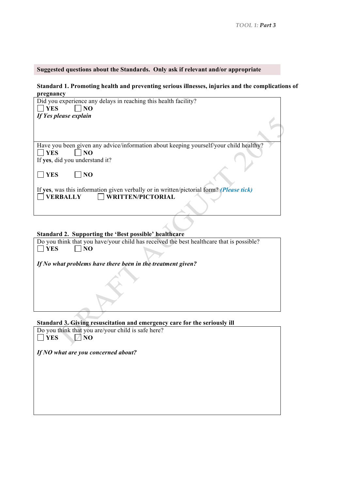#### **Suggested questions about the Standards. Only ask if relevant and/or appropriate**

#### **Standard 1. Promoting health and preventing serious illnesses, injuries and the complications of pregnancy**

| Did you experience any delays in reaching this health facility?                         |  |
|-----------------------------------------------------------------------------------------|--|
| <b>YES</b><br>N <sub>O</sub>                                                            |  |
| If Yes please explain                                                                   |  |
|                                                                                         |  |
|                                                                                         |  |
|                                                                                         |  |
| Have you been given any advice/information about keeping yourself/your child healthy?   |  |
| <b>YES</b><br>N <sub>O</sub>                                                            |  |
| If yes, did you understand it?                                                          |  |
|                                                                                         |  |
| <b>YES</b><br>N <sub>O</sub>                                                            |  |
|                                                                                         |  |
| If yes, was this information given verbally or in written/pictorial form? (Please tick) |  |
| $\Box$ WRITTEN/PICTORIAL<br><b>VERBALLY</b>                                             |  |
|                                                                                         |  |
|                                                                                         |  |
|                                                                                         |  |

# **Standard 2. Supporting the 'Best possible' healthcare**

| Do you think that you have/your child has received the best healthcare that is possible? |  |  |  |
|------------------------------------------------------------------------------------------|--|--|--|
| <b>YES</b><br>NO                                                                         |  |  |  |
|                                                                                          |  |  |  |
| If No what problems have there been in the treatment given?                              |  |  |  |
|                                                                                          |  |  |  |
|                                                                                          |  |  |  |
|                                                                                          |  |  |  |
|                                                                                          |  |  |  |
|                                                                                          |  |  |  |
|                                                                                          |  |  |  |
|                                                                                          |  |  |  |

## **Standard 3. Giving resuscitation and emergency care for the seriously ill**

Do you think that you are/your child is safe here?<br>  $\Box$  YES  $\Box$  NO **ZES** NO

*If NO what are you concerned about?*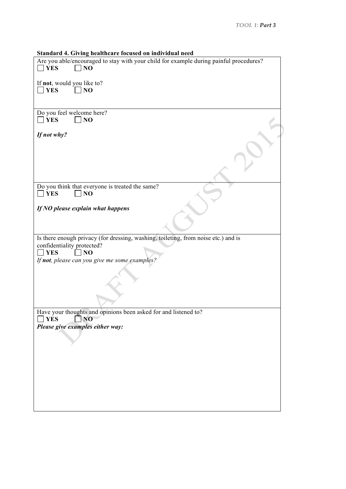**Standard 4. Giving healthcare focused on individual need**

| Standard 4. Giving neamncare focused on murvidual need                                                                                                                                            |
|---------------------------------------------------------------------------------------------------------------------------------------------------------------------------------------------------|
| Are you able/encouraged to stay with your child for example during painful procedures?<br><b>YES</b><br>NO                                                                                        |
| If not, would you like to?<br>N <sub>O</sub><br><b>YES</b>                                                                                                                                        |
|                                                                                                                                                                                                   |
| Do you feel welcome here?<br>$\blacksquare$ YES<br>NO                                                                                                                                             |
| If not why?                                                                                                                                                                                       |
|                                                                                                                                                                                                   |
| Do you think that everyone is treated the same?                                                                                                                                                   |
| <b>YES</b><br>NO                                                                                                                                                                                  |
| If $NO$ please explain what happens                                                                                                                                                               |
|                                                                                                                                                                                                   |
| Is there enough privacy (for dressing, washing, toileting, from noise etc.) and is<br>confidentiality protected?<br><b>YES</b><br>N <sub>O</sub><br>If not, please can you give me some examples? |
|                                                                                                                                                                                                   |
|                                                                                                                                                                                                   |
| Have your thoughts and opinions been asked for and listened to?<br>$\Box$ NO<br><b>YES</b>                                                                                                        |
| Please give examples either way:                                                                                                                                                                  |
|                                                                                                                                                                                                   |
|                                                                                                                                                                                                   |
|                                                                                                                                                                                                   |
|                                                                                                                                                                                                   |
|                                                                                                                                                                                                   |
|                                                                                                                                                                                                   |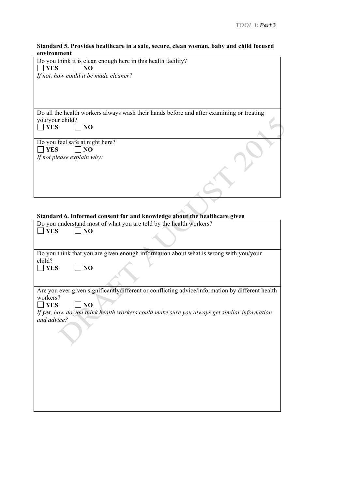#### **Standard 5. Provides healthcare in a safe, secure, clean woman, baby and child focused environment**

| Do you think it is clean enough here in this health facility?                                   |
|-------------------------------------------------------------------------------------------------|
| <b>YES</b><br>N <sub>O</sub>                                                                    |
| If not, how could it be made cleaner?                                                           |
|                                                                                                 |
|                                                                                                 |
|                                                                                                 |
|                                                                                                 |
|                                                                                                 |
|                                                                                                 |
| Do all the health workers always wash their hands before and after examining or treating        |
| you/your child?                                                                                 |
| <b>YES</b><br>NO                                                                                |
|                                                                                                 |
|                                                                                                 |
| Do you feel safe at night here?                                                                 |
| <b>TYES</b><br>N <sub>O</sub>                                                                   |
|                                                                                                 |
| If not please explain why:                                                                      |
|                                                                                                 |
|                                                                                                 |
|                                                                                                 |
|                                                                                                 |
|                                                                                                 |
|                                                                                                 |
|                                                                                                 |
|                                                                                                 |
|                                                                                                 |
| Standard 6. Informed consent for and knowledge about the healthcare given                       |
| Do you understand most of what you are told by the health workers?                              |
|                                                                                                 |
| <b>YES</b><br>N <sub>O</sub>                                                                    |
|                                                                                                 |
|                                                                                                 |
|                                                                                                 |
| Do you think that you are given enough information about what is wrong with you/your            |
| child?                                                                                          |
| <b>YES</b><br>NO                                                                                |
|                                                                                                 |
|                                                                                                 |
|                                                                                                 |
| Are you ever given significantlydifferent or conflicting advice/information by different health |
| workers?                                                                                        |
|                                                                                                 |
| NO<br><b>YES</b>                                                                                |
| If yes, how do you think health workers could make sure you always get similar information      |
| and advice?                                                                                     |
|                                                                                                 |
|                                                                                                 |
|                                                                                                 |
|                                                                                                 |
|                                                                                                 |
|                                                                                                 |
|                                                                                                 |
|                                                                                                 |
|                                                                                                 |
|                                                                                                 |
|                                                                                                 |
|                                                                                                 |
|                                                                                                 |
|                                                                                                 |
|                                                                                                 |
|                                                                                                 |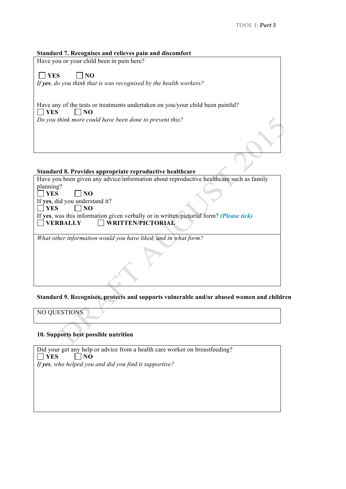#### **Standard 7. Recognises and relieves pain and discomfort**

Have you or your child been in pain here?

 $\Box$  YES  $\Box$  NO

*If yes, do you think that is was recognised by the health workers?*

Have any of the tests or treatments undertaken on you/your child been painful?  $\Box$  YES  $\Box$  NO

*Do you think more could have been done to prevent this?*

#### **Standard 8. Provides appropriate reproductive healthcare**

| Have you been given any advice/information about reproductive healthcare such as family |  |
|-----------------------------------------------------------------------------------------|--|
| planning?                                                                               |  |
| $\Box$ YES<br>NO.                                                                       |  |
| If yes, did you understand it?                                                          |  |
| $\Box$ YES<br>N <sub>0</sub>                                                            |  |
| If yes, was this information given verbally or in written/pictorial form? (Please tick) |  |
| $\Box$ WRITTEN/PICTORIAL<br><b>VERBALLY</b>                                             |  |
|                                                                                         |  |
| What other information would you have liked, and in what form?                          |  |
|                                                                                         |  |

#### **Standard 9. Recognises, protects and supports vulnerable and/or abused women and children**

NO QUESTIONS

#### **10. Supports best possible nutrition**

Did your get any help or advice from a health care worker on breastfeeding?  $\Box$  YES  $\Box$  NO *If yes, who helped you and did you find it supportive?*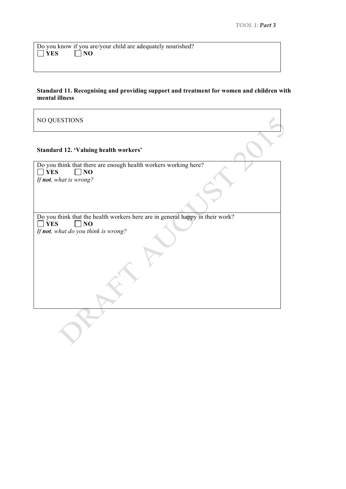Do you know if you are/your child are adequately nourished?  $\Box$  YES  $\Box$  NO

#### **Standard 11. Recognising and providing support and treatment for women and children with mental illness**

NO QUESTIONS **Standard 12. 'Valuing health workers'** Do you think that there are enough health workers working here?<br> $\Box$  YES  $\Box$  NO  $\Box$  NO *If not, what is wrong?* Do you think that the health workers here are in general happy in their work?  $\Box$  YES  $\Box$  NO *If not, what do you think is wrong?*